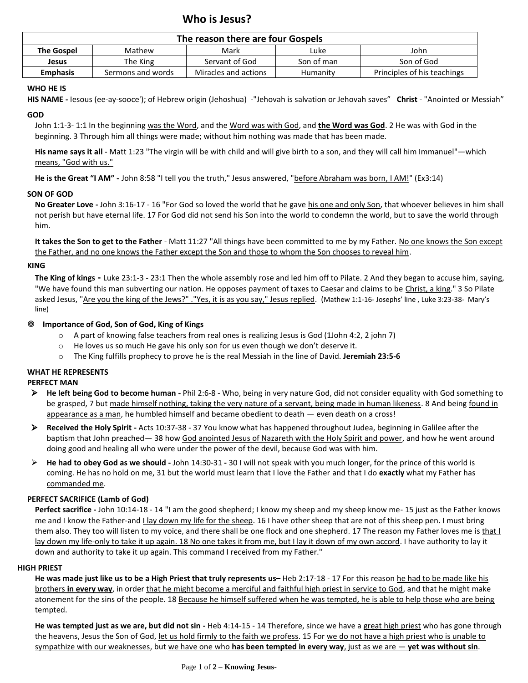# **Who is Jesus?**

| The reason there are four Gospels |                   |                      |            |                             |
|-----------------------------------|-------------------|----------------------|------------|-----------------------------|
| <b>The Gospel</b>                 | Mathew            | Mark                 | Luke       | John                        |
| Jesus                             | The King          | Servant of God       | Son of man | Son of God                  |
| <b>Emphasis</b>                   | Sermons and words | Miracles and actions | Humanity   | Principles of his teachings |

## **WHO HE IS**

**HIS NAME -** Iesous (ee-ay-sooce'); of Hebrew origin (Jehoshua) -"Jehovah is salvation or Jehovah saves" **Christ** - "Anointed or Messiah"

## **GOD**

John 1:1-3- 1:1 In the beginning was the Word, and the Word was with God, and **the Word was God**. 2 He was with God in the beginning. 3 Through him all things were made; without him nothing was made that has been made.

His name says it all - Matt 1:23 "The virgin will be with child and will give birth to a son, and they will call him Immanuel"—which means, "God with us."

**He is the Great "I AM" -** John 8:58 "I tell you the truth," Jesus answered, "before Abraham was born, I AM!" (Ex3:14)

## **SON OF GOD**

**No Greater Love -** John 3:16-17 - 16 "For God so loved the world that he gave his one and only Son, that whoever believes in him shall not perish but have eternal life. 17 For God did not send his Son into the world to condemn the world, but to save the world through him.

It takes the Son to get to the Father - Matt 11:27 "All things have been committed to me by my Father. No one knows the Son except the Father, and no one knows the Father except the Son and those to whom the Son chooses to reveal him.

## **KING**

**The King of kings -** Luke 23:1-3 - 23:1 Then the whole assembly rose and led him off to Pilate. 2 And they began to accuse him, saying, "We have found this man subverting our nation. He opposes payment of taxes to Caesar and claims to be Christ, a king." 3 So Pilate asked Jesus, "Are you the king of the Jews?" ."Yes, it is as you say," Jesus replied. (Mathew 1:1-16- Josephs' line, Luke 3:23-38- Mary's line)

## **Importance of God, Son of God, King of Kings**

- $\circ$  A part of knowing false teachers from real ones is realizing Jesus is God (1John 4:2, 2 john 7)
- $\circ$  He loves us so much He gave his only son for us even though we don't deserve it.
- o The King fulfills prophecy to prove he is the real Messiah in the line of David. **Jeremiah 23:5-6**

## **WHAT HE REPRESENTS**

## **PERFECT MAN**

- ➢ **He left being God to become human -** Phil 2:6-8 Who, being in very nature God, did not consider equality with God something to be grasped, 7 but made himself nothing, taking the very nature of a servant, being made in human likeness. 8 And being found in appearance as a man, he humbled himself and became obedient to death — even death on a cross!
- ➢ **Received the Holy Spirit -** Acts 10:37-38 37 You know what has happened throughout Judea, beginning in Galilee after the baptism that John preached— 38 how God anointed Jesus of Nazareth with the Holy Spirit and power, and how he went around doing good and healing all who were under the power of the devil, because God was with him.
- ➢ **He had to obey God as we should -** John 14:30-31 **-** 30 I will not speak with you much longer, for the prince of this world is coming. He has no hold on me, 31 but the world must learn that I love the Father and that I do **exactly** what my Father has commanded me.

## **PERFECT SACRIFICE (Lamb of God)**

**Perfect sacrifice -** John 10:14-18 - 14 "I am the good shepherd; I know my sheep and my sheep know me- 15 just as the Father knows me and I know the Father-and I lay down my life for the sheep. 16 I have other sheep that are not of this sheep pen. I must bring them also. They too will listen to my voice, and there shall be one flock and one shepherd. 17 The reason my Father loves me is that I lay down my life-only to take it up again. 18 No one takes it from me, but I lay it down of my own accord. I have authority to lay it down and authority to take it up again. This command I received from my Father."

#### **HIGH PRIEST**

**He was made just like us to be a High Priest that truly represents us–** Heb 2:17-18 - 17 For this reason he had to be made like his brothers **in every way**, in order that he might become a merciful and faithful high priest in service to God, and that he might make atonement for the sins of the people. 18 Because he himself suffered when he was tempted, he is able to help those who are being tempted.

**He was tempted just as we are, but did not sin -** Heb 4:14-15 - 14 Therefore, since we have a great high priest who has gone through the heavens, Jesus the Son of God, let us hold firmly to the faith we profess. 15 For we do not have a high priest who is unable to sympathize with our weaknesses, but we have one who **has been tempted in every way**, just as we are — **yet was without sin**.